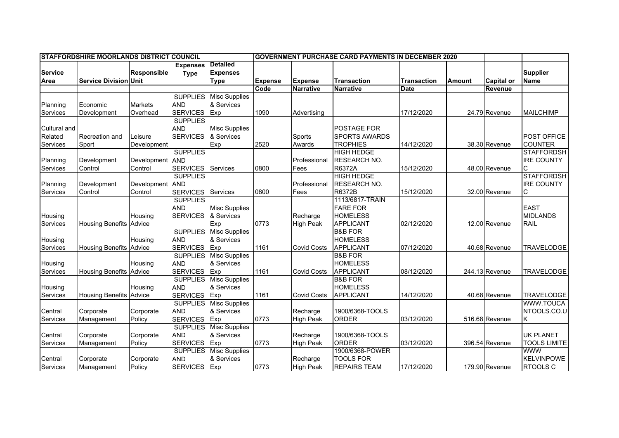| <b>STAFFORDSHIRE MOORLANDS DISTRICT COUNCIL</b> |                                |                    |                 | <b>GOVERNMENT PURCHASE CARD PAYMENTS IN DECEMBER 2020</b> |                |                    |                      |                    |               |                   |                     |
|-------------------------------------------------|--------------------------------|--------------------|-----------------|-----------------------------------------------------------|----------------|--------------------|----------------------|--------------------|---------------|-------------------|---------------------|
|                                                 |                                |                    | <b>Expenses</b> | <b>Detailed</b>                                           |                |                    |                      |                    |               |                   |                     |
| <b>Service</b>                                  |                                | <b>Responsible</b> | <b>Type</b>     | <b>Expenses</b>                                           |                |                    |                      |                    |               |                   | <b>Supplier</b>     |
| Area                                            | <b>Service Division Unit</b>   |                    |                 | <b>Type</b>                                               | <b>Expense</b> | <b>Expense</b>     | <b>Transaction</b>   | <b>Transaction</b> | <b>Amount</b> | <b>Capital or</b> | <b>Name</b>         |
|                                                 |                                |                    |                 |                                                           | Code           | <b>Narrative</b>   | <b>Narrative</b>     | <b>Date</b>        |               | Revenue           |                     |
|                                                 |                                |                    | <b>SUPPLIES</b> | <b>Misc Supplies</b>                                      |                |                    |                      |                    |               |                   |                     |
| Planning                                        | Economic                       | <b>Markets</b>     | <b>AND</b>      | & Services                                                |                |                    |                      |                    |               |                   |                     |
| Services                                        | Development                    | Overhead           | <b>SERVICES</b> | Exp                                                       | 1090           | Advertising        |                      | 17/12/2020         |               | 24.79 Revenue     | <b>MAILCHIMP</b>    |
|                                                 |                                |                    | <b>SUPPLIES</b> |                                                           |                |                    |                      |                    |               |                   |                     |
| <b>Cultural and</b>                             |                                |                    | <b>AND</b>      | <b>Misc Supplies</b>                                      |                |                    | POSTAGE FOR          |                    |               |                   |                     |
| Related                                         | Recreation and                 | Leisure            | <b>SERVICES</b> | & Services                                                |                | Sports             | <b>SPORTS AWARDS</b> |                    |               |                   | <b>POST OFFICE</b>  |
| Services                                        | Sport                          | Development        |                 | Exp                                                       | 2520           | Awards             | <b>TROPHIES</b>      | 14/12/2020         |               | 38.30 Revenue     | <b>COUNTER</b>      |
|                                                 |                                |                    | <b>SUPPLIES</b> |                                                           |                |                    | <b>HIGH HEDGE</b>    |                    |               |                   | <b>STAFFORDSH</b>   |
| Planning                                        | Development                    | Development AND    |                 |                                                           |                | Professional       | RESEARCH NO.         |                    |               |                   | <b>IRE COUNTY</b>   |
| Services                                        | Control                        | Control            | <b>SERVICES</b> | Services                                                  | 0800           | Fees               | R6372A               | 15/12/2020         |               | 48.00 Revenue     |                     |
|                                                 |                                |                    | <b>SUPPLIES</b> |                                                           |                |                    | <b>HIGH HEDGE</b>    |                    |               |                   | <b>STAFFORDSH</b>   |
| Planning                                        | Development                    | Development AND    |                 |                                                           |                | Professional       | RESEARCH NO.         |                    |               |                   | <b>IRE COUNTY</b>   |
| Services                                        | Control                        | Control            | <b>SERVICES</b> | Services                                                  | 0800           | Fees               | R6372B               | 15/12/2020         |               | 32.00 Revenue     | С                   |
|                                                 |                                |                    | <b>SUPPLIES</b> |                                                           |                |                    | 1113/6817-TRAIN      |                    |               |                   |                     |
|                                                 |                                |                    | <b>AND</b>      | <b>Misc Supplies</b>                                      |                |                    | <b>FARE FOR</b>      |                    |               |                   | <b>EAST</b>         |
| Housing                                         |                                | Housing            | <b>SERVICES</b> | & Services                                                |                | Recharge           | <b>HOMELESS</b>      |                    |               |                   | <b>MIDLANDS</b>     |
| Services                                        | <b>Housing Benefits</b>        | Advice             |                 | Exp                                                       | 0773           | <b>High Peak</b>   | <b>APPLICANT</b>     | 02/12/2020         |               | 12.00 Revenue     | <b>RAIL</b>         |
|                                                 |                                |                    | <b>SUPPLIES</b> | <b>Misc Supplies</b>                                      |                |                    | <b>B&amp;B FOR</b>   |                    |               |                   |                     |
| Housing                                         |                                | Housing            | <b>AND</b>      | & Services                                                |                |                    | <b>HOMELESS</b>      |                    |               |                   |                     |
| Services                                        | <b>Housing Benefits Advice</b> |                    | <b>SERVICES</b> | Exp                                                       | 1161           | <b>Covid Costs</b> | <b>APPLICANT</b>     | 07/12/2020         |               | 40.68 Revenue     | <b>TRAVELODGE</b>   |
|                                                 |                                |                    | <b>SUPPLIES</b> | <b>Misc Supplies</b>                                      |                |                    | <b>B&amp;B FOR</b>   |                    |               |                   |                     |
| Housing                                         |                                | Housing            | <b>AND</b>      | & Services                                                |                |                    | <b>HOMELESS</b>      |                    |               |                   |                     |
| Services                                        | <b>Housing Benefits Advice</b> |                    | <b>SERVICES</b> | Exp                                                       | 1161           | <b>Covid Costs</b> | <b>APPLICANT</b>     | 08/12/2020         |               | 244.13 Revenue    | <b>TRAVELODGE</b>   |
|                                                 |                                |                    | <b>SUPPLIES</b> | <b>Misc Supplies</b>                                      |                |                    | <b>B&amp;B FOR</b>   |                    |               |                   |                     |
| Housing                                         |                                | Housing            | <b>AND</b>      | & Services                                                |                |                    | <b>HOMELESS</b>      |                    |               |                   |                     |
| Services                                        | <b>Housing Benefits</b>        | Advice             | <b>SERVICES</b> | Exp                                                       | 1161           | <b>Covid Costs</b> | <b>APPLICANT</b>     | 14/12/2020         |               | 40.68 Revenue     | <b>TRAVELODGE</b>   |
|                                                 |                                |                    | <b>SUPPLIES</b> | <b>Misc Supplies</b>                                      |                |                    |                      |                    |               |                   | WWW.TOUCA           |
| Central                                         | Corporate                      | Corporate          | <b>AND</b>      | & Services                                                |                | Recharge           | 1900/6368-TOOLS      |                    |               |                   | NTOOLS.CO.U         |
| Services                                        | Management                     | Policy             | <b>SERVICES</b> | Exp                                                       | 0773           | <b>High Peak</b>   | <b>ORDER</b>         | 03/12/2020         |               | 516.68 Revenue    | K                   |
|                                                 |                                |                    | <b>SUPPLIES</b> | <b>Misc Supplies</b>                                      |                |                    |                      |                    |               |                   |                     |
| Central                                         | Corporate                      | Corporate          | <b>AND</b>      | & Services                                                |                | Recharge           | 1900/6368-TOOLS      |                    |               |                   | <b>UK PLANET</b>    |
| Services                                        | Management                     | Policy             | <b>SERVICES</b> | Exp                                                       | 0773           | <b>High Peak</b>   | <b>ORDER</b>         | 03/12/2020         |               | 396.54 Revenue    | <b>TOOLS LIMITE</b> |
|                                                 |                                |                    | <b>SUPPLIES</b> | <b>Misc Supplies</b>                                      |                |                    | 1900/6368-POWER      |                    |               |                   | <b>WWW</b>          |
| Central                                         | Corporate                      | Corporate          | <b>AND</b>      | & Services                                                |                | Recharge           | <b>TOOLS FOR</b>     |                    |               |                   | <b>KELVINPOWE</b>   |
| Services                                        | Management                     | Policy             | <b>SERVICES</b> | Exp                                                       | 0773           | <b>High Peak</b>   | <b>REPAIRS TEAM</b>  | 17/12/2020         |               | 179.90 Revenue    | <b>RTOOLS C</b>     |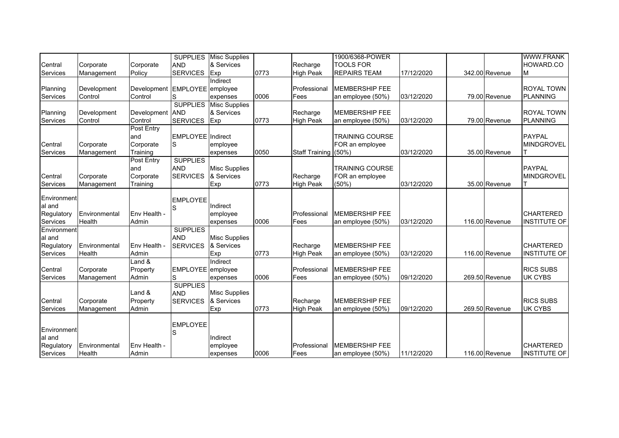|                                                        |                         |                                            |                                                  | <b>SUPPLIES</b> Misc Supplies                      |      |                              | 1900/6368-POWER                                       |            |                | WWW.FRANK                               |
|--------------------------------------------------------|-------------------------|--------------------------------------------|--------------------------------------------------|----------------------------------------------------|------|------------------------------|-------------------------------------------------------|------------|----------------|-----------------------------------------|
| Central                                                | Corporate               | Corporate                                  | <b>AND</b>                                       | & Services                                         |      | Recharge                     | <b>TOOLS FOR</b>                                      |            |                | HOWARD.CO                               |
| Services                                               | Management              | Policy                                     | <b>SERVICES</b>                                  | Exp                                                | 0773 | <b>High Peak</b>             | <b>REPAIRS TEAM</b>                                   | 17/12/2020 | 342.00 Revenue | M                                       |
| Planning<br>Services                                   | Development<br>Control  | Development EMPLOYEE employee<br>Control   | S                                                | Indirect<br>expenses                               | 0006 | Professional<br>Fees         | <b>MEMBERSHIP FEE</b><br>an employee (50%)            | 03/12/2020 | 79.00 Revenue  | <b>ROYAL TOWN</b><br>PLANNING           |
| Planning<br>Services                                   | Development<br>Control  | Development AND<br>Control                 | <b>SERVICES</b>                                  | <b>SUPPLIES</b> Misc Supplies<br>& Services<br>Exp | 0773 | Recharge<br><b>High Peak</b> | <b>MEMBERSHIP FEE</b><br>an employee (50%)            | 03/12/2020 | 79.00 Revenue  | <b>ROYAL TOWN</b><br>PLANNING           |
| Central<br>Services                                    | Corporate<br>Management | Post Entry<br>and<br>Corporate<br>Training | <b>EMPLOYEE</b> Indirect<br>lS                   | employee<br>expenses                               | 0050 | <b>Staff Training</b>        | <b>TRAINING COURSE</b><br>FOR an employee<br>(50%     | 03/12/2020 | 35.00 Revenue  | <b>PAYPAL</b><br><b>MINDGROVEL</b>      |
| Central<br>Services                                    | Corporate<br>Management | Post Entry<br>and<br>Corporate<br>Training | <b>SUPPLIES</b><br><b>AND</b><br><b>SERVICES</b> | <b>Misc Supplies</b><br>& Services<br>Exp          | 0773 | Recharge<br>High Peak        | <b>TRAINING COURSE</b><br>FOR an employee<br>$(50\%)$ | 03/12/2020 | 35.00 Revenue  | <b>PAYPAL</b><br>MINDGROVEL             |
| Environment<br>al and<br>Regulatory<br><b>Services</b> | Environmental<br>Health | Env Health -<br>Admin                      | <b>EMPLOYEE</b><br>S                             | Indirect<br>employee<br>expenses                   | 0006 | Professional<br>Fees         | <b>MEMBERSHIP FEE</b><br>an employee (50%)            | 03/12/2020 | 116.00 Revenue | <b>CHARTERED</b><br><b>INSTITUTE OF</b> |
| Environment<br>al and<br>Regulatory<br>Services        | Environmental<br>Health | Env Health -<br>Admin                      | <b>SUPPLIES</b><br><b>AND</b><br><b>SERVICES</b> | <b>Misc Supplies</b><br>& Services<br>Exp          | 0773 | Recharge<br><b>High Peak</b> | <b>MEMBERSHIP FEE</b><br>an employee (50%)            | 03/12/2020 | 116.00 Revenue | <b>CHARTERED</b><br><b>INSTITUTE OF</b> |
| Central<br>Services                                    | Corporate<br>Management | $L$ and $\&$<br>Property<br>Admin          | EMPLOYEE employee<br>S                           | Indirect<br>expenses                               | 0006 | Professional<br>Fees         | <b>MEMBERSHIP FEE</b><br>an employee (50%)            | 09/12/2020 | 269.50 Revenue | <b>RICS SUBS</b><br><b>UK CYBS</b>      |
| Central<br>Services                                    | Corporate<br>Management | Land &<br>Property<br>Admin                | <b>SUPPLIES</b><br><b>AND</b><br><b>SERVICES</b> | <b>Misc Supplies</b><br>& Services<br>Exp          | 0773 | Recharge<br><b>High Peak</b> | <b>MEMBERSHIP FEE</b><br>an employee (50%)            | 09/12/2020 | 269.50 Revenue | <b>RICS SUBS</b><br><b>UK CYBS</b>      |
| Environment<br>al and<br>Regulatory<br>Services        | Environmental<br>Health | Env Health -<br>Admin                      | <b>EMPLOYEE</b><br>S                             | Indirect<br>employee<br>expenses                   | 0006 | Professional<br>Fees         | <b>MEMBERSHIP FEE</b><br>an employee (50%)            | 11/12/2020 | 116.00 Revenue | <b>CHARTERED</b><br>INSTITUTE OF        |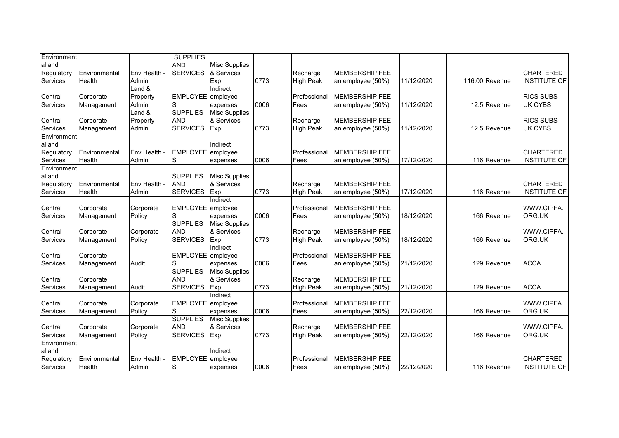| Environment     |               |              | <b>SUPPLIES</b>   |                      |      |                  |                        |            |                |                     |
|-----------------|---------------|--------------|-------------------|----------------------|------|------------------|------------------------|------------|----------------|---------------------|
| al and          |               |              | <b>AND</b>        | <b>Misc Supplies</b> |      |                  |                        |            |                |                     |
| Regulatory      | Environmental | Env Health - | <b>SERVICES</b>   | & Services           |      | Recharge         | <b>IMEMBERSHIP FEE</b> |            |                | <b>CHARTERED</b>    |
| Services        | Health        | Admin        |                   | Exp                  | 0773 | <b>High Peak</b> | an employee (50%)      | 11/12/2020 | 116.00 Revenue | <b>INSTITUTE OF</b> |
|                 |               | Land &       |                   | Indirect             |      |                  |                        |            |                |                     |
| Central         | Corporate     | Property     | EMPLOYEE employee |                      |      | Professional     | <b>MEMBERSHIP FEE</b>  |            |                | <b>RICS SUBS</b>    |
| Services        | Management    | Admin        | S                 | expenses             | 0006 | Fees             | an employee (50%)      | 11/12/2020 | 12.5 Revenue   | <b>UK CYBS</b>      |
|                 |               | Land &       | <b>SUPPLIES</b>   | <b>Misc Supplies</b> |      |                  |                        |            |                |                     |
| Central         | Corporate     | Property     | <b>AND</b>        | & Services           |      | Recharge         | <b>MEMBERSHIP FEE</b>  |            |                | <b>RICS SUBS</b>    |
| Services        | Management    | Admin        | <b>SERVICES</b>   | Exp                  | 0773 | <b>High Peak</b> | an employee (50%)      | 11/12/2020 | 12.5 Revenue   | <b>UK CYBS</b>      |
| Environment     |               |              |                   |                      |      |                  |                        |            |                |                     |
| al and          |               |              |                   | Indirect             |      |                  |                        |            |                |                     |
| Regulatory      | Environmental | Env Health - | EMPLOYEE employee |                      |      | Professional     | <b>MEMBERSHIP FEE</b>  |            |                | <b>CHARTERED</b>    |
| Services        | <b>Health</b> | Admin        | S                 | expenses             | 0006 | Fees             | an employee (50%)      | 17/12/2020 | 116 Revenue    | <b>INSTITUTE OF</b> |
| Environment     |               |              |                   |                      |      |                  |                        |            |                |                     |
| al and          |               |              | <b>SUPPLIES</b>   | <b>Misc Supplies</b> |      |                  |                        |            |                |                     |
| Regulatory      | Environmental | Env Health - | <b>AND</b>        | & Services           |      | Recharge         | <b>MEMBERSHIP FEE</b>  |            |                | <b>CHARTERED</b>    |
| Services        | Health        | Admin        | <b>SERVICES</b>   | Exp                  | 0773 | <b>High Peak</b> | an employee (50%)      | 17/12/2020 | 116 Revenue    | <b>INSTITUTE OF</b> |
|                 |               |              |                   | Indirect             |      |                  |                        |            |                |                     |
| Central         | Corporate     | Corporate    | EMPLOYEE employee |                      |      | Professional     | <b>MEMBERSHIP FEE</b>  |            |                | WWW.CIPFA.          |
| Services        | Management    | Policy       | S                 | expenses             | 0006 | Fees             | an employee (50%)      | 18/12/2020 | 166 Revenue    | ORG.UK              |
|                 |               |              | <b>SUPPLIES</b>   | <b>Misc Supplies</b> |      |                  |                        |            |                |                     |
| Central         | Corporate     | Corporate    | <b>AND</b>        | & Services           |      | Recharge         | <b>MEMBERSHIP FEE</b>  |            |                | WWW.CIPFA.          |
| <b>Services</b> | Management    | Policy       | <b>SERVICES</b>   | Exp                  | 0773 | <b>High Peak</b> | an employee (50%)      | 18/12/2020 | 166 Revenue    | ORG.UK              |
|                 |               |              |                   | <b>Indirect</b>      |      |                  |                        |            |                |                     |
| Central         | Corporate     |              | EMPLOYEE employee |                      |      | Professional     | <b>MEMBERSHIP FEE</b>  |            |                |                     |
| Services        | Management    | Audit        | S                 | expenses             | 0006 | Fees             | an employee (50%)      | 21/12/2020 | 129 Revenue    | <b>ACCA</b>         |
|                 |               |              | <b>SUPPLIES</b>   | <b>Misc Supplies</b> |      |                  |                        |            |                |                     |
| Central         | Corporate     |              | <b>AND</b>        | & Services           |      | Recharge         | <b>MEMBERSHIP FEE</b>  |            |                |                     |
| Services        | Management    | Audit        | <b>SERVICES</b>   | Exp                  | 0773 | <b>High Peak</b> | an employee (50%)      | 21/12/2020 | 129 Revenue    | <b>ACCA</b>         |
|                 |               |              |                   | Indirect             |      |                  |                        |            |                |                     |
| Central         | Corporate     | Corporate    | EMPLOYEE employee |                      |      | Professional     | <b>MEMBERSHIP FEE</b>  |            |                | WWW.CIPFA.          |
| Services        | Management    | Policy       | S                 | expenses             | 0006 | Fees             | an employee (50%)      | 22/12/2020 | 166 Revenue    | ORG.UK              |
|                 |               |              | <b>SUPPLIES</b>   | <b>Misc Supplies</b> |      |                  |                        |            |                |                     |
| Central         | Corporate     | Corporate    | <b>AND</b>        | & Services           |      | Recharge         | <b>MEMBERSHIP FEE</b>  |            |                | WWW.CIPFA.          |
| Services        | Management    | Policy       | <b>SERVICES</b>   | Exp                  | 0773 | <b>High Peak</b> | an employee (50%)      | 22/12/2020 | 166 Revenue    | ORG.UK              |
| Environment     |               |              |                   |                      |      |                  |                        |            |                |                     |
| al and          |               |              |                   | Indirect             |      |                  |                        |            |                |                     |
| Regulatory      | Environmental | Env Health - | EMPLOYEE employee |                      |      | Professional     | <b>MEMBERSHIP FEE</b>  |            |                | <b>CHARTERED</b>    |
| Services        | Health        | Admin        | S                 | expenses             | 0006 | Fees             | an employee (50%)      | 22/12/2020 | 116 Revenue    | <b>INSTITUTE OF</b> |